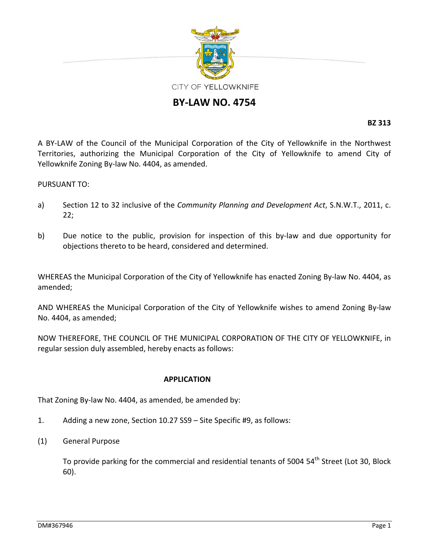

# **BY‐LAW NO. 4754**

**BZ 313**

A BY‐LAW of the Council of the Municipal Corporation of the City of Yellowknife in the Northwest Territories, authorizing the Municipal Corporation of the City of Yellowknife to amend City of Yellowknife Zoning By‐law No. 4404, as amended.

PURSUANT TO:

- a) Section 12 to 32 inclusive of the *Community Planning and Development Act*, S.N.W.T., 2011, c. 22;
- b) Due notice to the public, provision for inspection of this by-law and due opportunity for objections thereto to be heard, considered and determined.

WHEREAS the Municipal Corporation of the City of Yellowknife has enacted Zoning By-law No. 4404, as amended;

AND WHEREAS the Municipal Corporation of the City of Yellowknife wishes to amend Zoning By‐law No. 4404, as amended;

NOW THEREFORE, THE COUNCIL OF THE MUNICIPAL CORPORATION OF THE CITY OF YELLOWKNIFE, in regular session duly assembled, hereby enacts as follows:

### **APPLICATION**

That Zoning By‐law No. 4404, as amended, be amended by:

- 1. Adding a new zone, Section 10.27 SS9 Site Specific #9, as follows:
- (1) General Purpose

To provide parking for the commercial and residential tenants of 5004 54<sup>th</sup> Street (Lot 30, Block 60).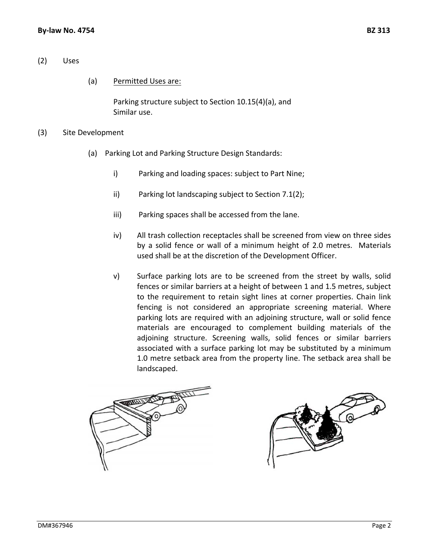# (2) Uses

# (a) Permitted Uses are:

Parking structure subject to Section 10.15(4)(a), and Similar use.

#### (3) Site Development

- (a) Parking Lot and Parking Structure Design Standards:
	- i) Parking and loading spaces: subject to Part Nine;
	- ii) Parking lot landscaping subject to Section 7.1(2);
	- iii) Parking spaces shall be accessed from the lane.
	- iv) All trash collection receptacles shall be screened from view on three sides by a solid fence or wall of a minimum height of 2.0 metres. Materials used shall be at the discretion of the Development Officer.
	- v) Surface parking lots are to be screened from the street by walls, solid fences or similar barriers at a height of between 1 and 1.5 metres, subject to the requirement to retain sight lines at corner properties. Chain link fencing is not considered an appropriate screening material. Where parking lots are required with an adjoining structure, wall or solid fence materials are encouraged to complement building materials of the adjoining structure. Screening walls, solid fences or similar barriers associated with a surface parking lot may be substituted by a minimum 1.0 metre setback area from the property line. The setback area shall be landscaped.



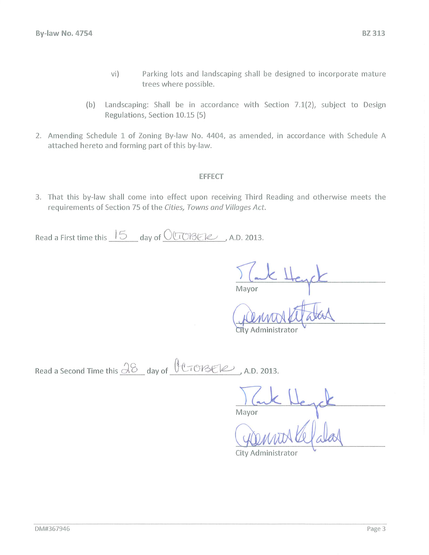- $vi)$ Parking lots and landscaping shall be designed to incorporate mature trees where possible.
- Landscaping: Shall be in accordance with Section 7.1(2), subject to Design  $(b)$ Regulations, Section 10.15 (5)
- 2. Amending Schedule 1 of Zoning By-law No. 4404, as amended, in accordance with Schedule A attached hereto and forming part of this by-law.

### **EFFECT**

3. That this by-law shall come into effect upon receiving Third Reading and otherwise meets the requirements of Section 75 of the Cities, Towns and Villages Act.

Read a First time this  $15$  day of  $0008$ EIe, A.D. 2013.

Mavor

City Administrator

Read a Second Time this  $\frac{\sqrt{8}}{8}$  day of  $\frac{66}{\sqrt{8}}$  (2013)

Mayor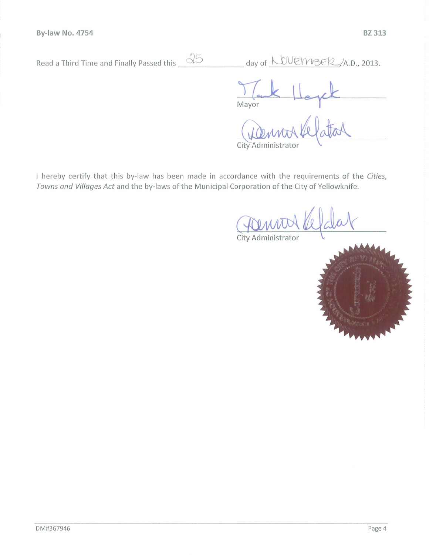| Read a Third Time and Finally Passed this | day of $LWENISE12, A.D., 2013.$   |
|-------------------------------------------|-----------------------------------|
|                                           | Mayor                             |
|                                           | Denvorkelat<br>City Administrator |

I hereby certify that this by-law has been made in accordance with the requirements of the Cities, Towns and Villages Act and the by-laws of the Municipal Corporation of the City of Yellowknife.



City Administrator